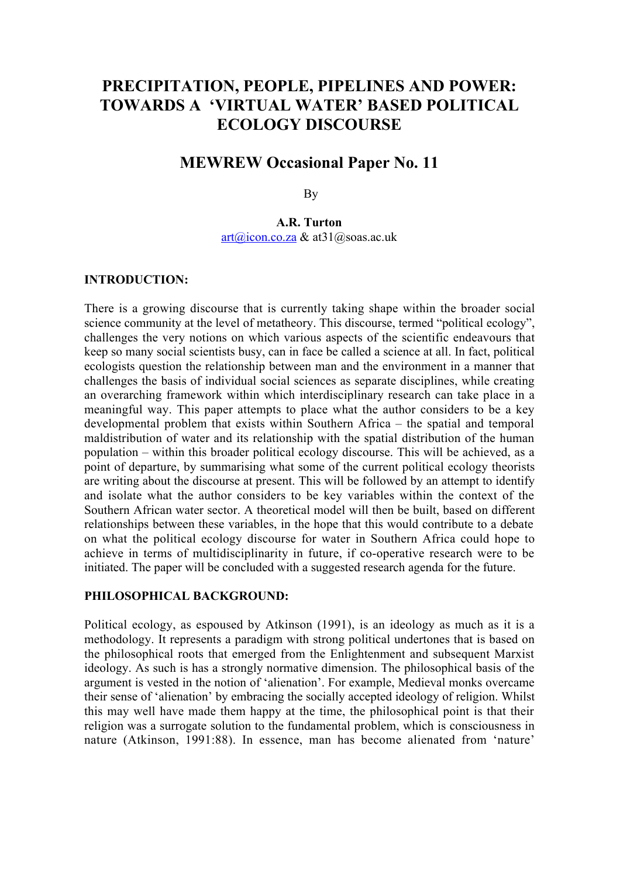# **PRECIPITATION, PEOPLE, PIPELINES AND POWER: TOWARDS A 'VIRTUAL WATER' BASED POLITICAL ECOLOGY DISCOURSE**

# **MEWREW Occasional Paper No. 11**

By

**A.R. Turton**

art@icon.co.za & at31@soas.ac.uk

# **INTRODUCTION:**

There is a growing discourse that is currently taking shape within the broader social science community at the level of metatheory. This discourse, termed "political ecology", challenges the very notions on which various aspects of the scientific endeavours that keep so many social scientists busy, can in face be called a science at all. In fact, political ecologists question the relationship between man and the environment in a manner that challenges the basis of individual social sciences as separate disciplines, while creating an overarching framework within which interdisciplinary research can take place in a meaningful way. This paper attempts to place what the author considers to be a key developmental problem that exists within Southern Africa – the spatial and temporal maldistribution of water and its relationship with the spatial distribution of the human population – within this broader political ecology discourse. This will be achieved, as a point of departure, by summarising what some of the current political ecology theorists are writing about the discourse at present. This will be followed by an attempt to identify and isolate what the author considers to be key variables within the context of the Southern African water sector. A theoretical model will then be built, based on different relationships between these variables, in the hope that this would contribute to a debate on what the political ecology discourse for water in Southern Africa could hope to achieve in terms of multidisciplinarity in future, if co-operative research were to be initiated. The paper will be concluded with a suggested research agenda for the future.

# **PHILOSOPHICAL BACKGROUND:**

Political ecology, as espoused by Atkinson (1991), is an ideology as much as it is a methodology. It represents a paradigm with strong political undertones that is based on the philosophical roots that emerged from the Enlightenment and subsequent Marxist ideology. As such is has a strongly normative dimension. The philosophical basis of the argument is vested in the notion of 'alienation'. For example, Medieval monks overcame their sense of 'alienation' by embracing the socially accepted ideology of religion. Whilst this may well have made them happy at the time, the philosophical point is that their religion was a surrogate solution to the fundamental problem, which is consciousness in nature (Atkinson, 1991:88). In essence, man has become alienated from 'nature'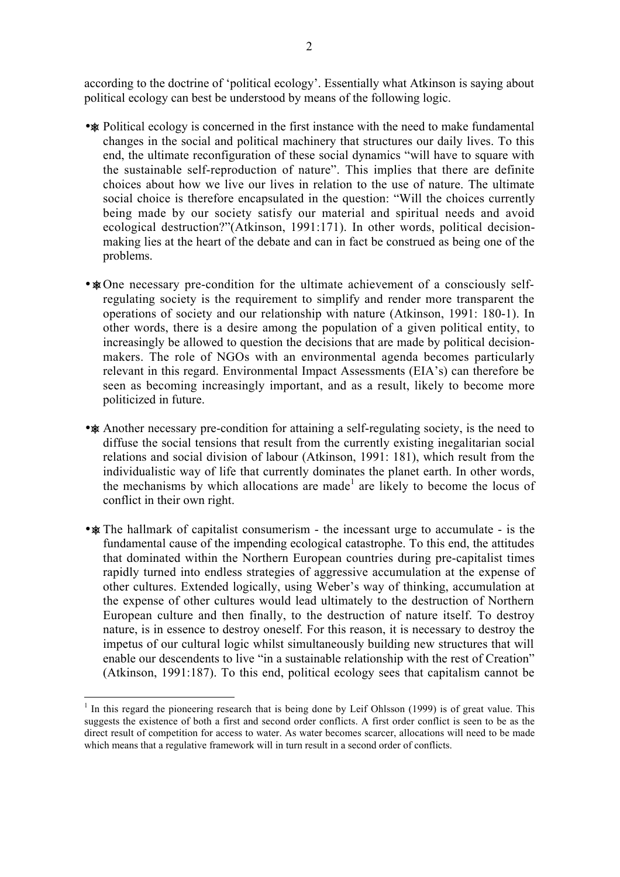according to the doctrine of 'political ecology'. Essentially what Atkinson is saying about political ecology can best be understood by means of the following logic.

- $\bullet$  Political ecology is concerned in the first instance with the need to make fundamental changes in the social and political machinery that structures our daily lives. To this end, the ultimate reconfiguration of these social dynamics "will have to square with the sustainable self-reproduction of nature". This implies that there are definite choices about how we live our lives in relation to the use of nature. The ultimate social choice is therefore encapsulated in the question: "Will the choices currently being made by our society satisfy our material and spiritual needs and avoid ecological destruction?"(Atkinson, 1991:171). In other words, political decisionmaking lies at the heart of the debate and can in fact be construed as being one of the problems.
- $\bullet \ast$  One necessary pre-condition for the ultimate achievement of a consciously selfregulating society is the requirement to simplify and render more transparent the operations of society and our relationship with nature (Atkinson, 1991: 180-1). In other words, there is a desire among the population of a given political entity, to increasingly be allowed to question the decisions that are made by political decisionmakers. The role of NGOs with an environmental agenda becomes particularly relevant in this regard. Environmental Impact Assessments (EIA's) can therefore be seen as becoming increasingly important, and as a result, likely to become more politicized in future.
- $\ast$  Another necessary pre-condition for attaining a self-regulating society, is the need to diffuse the social tensions that result from the currently existing inegalitarian social relations and social division of labour (Atkinson, 1991: 181), which result from the individualistic way of life that currently dominates the planet earth. In other words, the mechanisms by which allocations are made<sup>1</sup> are likely to become the locus of conflict in their own right.
- $\ast$  The hallmark of capitalist consumerism the incessant urge to accumulate is the fundamental cause of the impending ecological catastrophe. To this end, the attitudes that dominated within the Northern European countries during pre-capitalist times rapidly turned into endless strategies of aggressive accumulation at the expense of other cultures. Extended logically, using Weber's way of thinking, accumulation at the expense of other cultures would lead ultimately to the destruction of Northern European culture and then finally, to the destruction of nature itself. To destroy nature, is in essence to destroy oneself. For this reason, it is necessary to destroy the impetus of our cultural logic whilst simultaneously building new structures that will enable our descendents to live "in a sustainable relationship with the rest of Creation" (Atkinson, 1991:187). To this end, political ecology sees that capitalism cannot be

 $\frac{1}{1}$  $<sup>1</sup>$  In this regard the pioneering research that is being done by Leif Ohlsson (1999) is of great value. This</sup> suggests the existence of both a first and second order conflicts. A first order conflict is seen to be as the direct result of competition for access to water. As water becomes scarcer, allocations will need to be made which means that a regulative framework will in turn result in a second order of conflicts.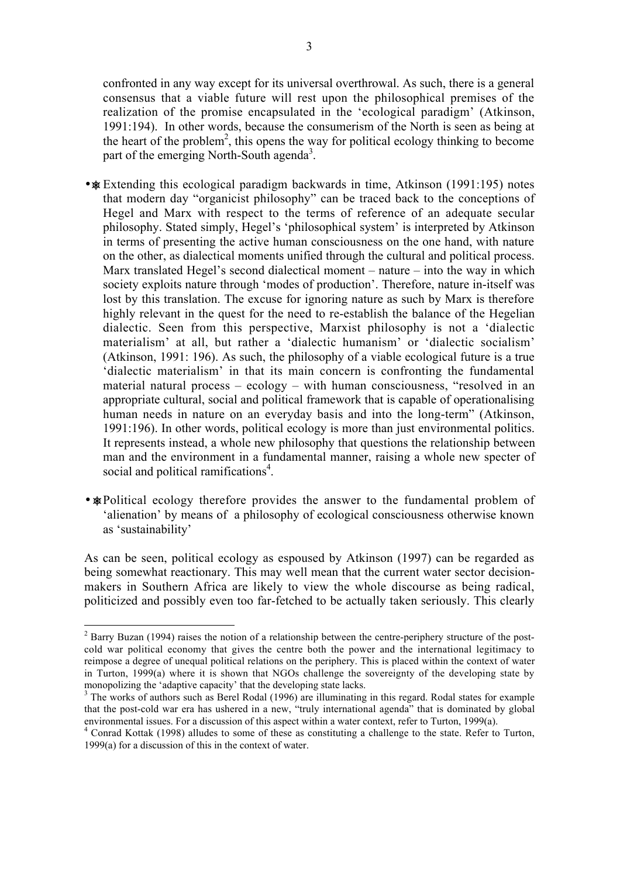confronted in any way except for its universal overthrowal. As such, there is a general consensus that a viable future will rest upon the philosophical premises of the realization of the promise encapsulated in the 'ecological paradigm' (Atkinson, 1991:194). In other words, because the consumerism of the North is seen as being at the heart of the problem<sup>2</sup>, this opens the way for political ecology thinking to become part of the emerging North-South agenda<sup>3</sup>.

- $\bullet$  Extending this ecological paradigm backwards in time, Atkinson (1991:195) notes that modern day "organicist philosophy" can be traced back to the conceptions of Hegel and Marx with respect to the terms of reference of an adequate secular philosophy. Stated simply, Hegel's 'philosophical system' is interpreted by Atkinson in terms of presenting the active human consciousness on the one hand, with nature on the other, as dialectical moments unified through the cultural and political process. Marx translated Hegel's second dialectical moment – nature – into the way in which society exploits nature through 'modes of production'. Therefore, nature in-itself was lost by this translation. The excuse for ignoring nature as such by Marx is therefore highly relevant in the quest for the need to re-establish the balance of the Hegelian dialectic. Seen from this perspective, Marxist philosophy is not a 'dialectic materialism' at all, but rather a 'dialectic humanism' or 'dialectic socialism' (Atkinson, 1991: 196). As such, the philosophy of a viable ecological future is a true 'dialectic materialism' in that its main concern is confronting the fundamental material natural process – ecology – with human consciousness, "resolved in an appropriate cultural, social and political framework that is capable of operationalising human needs in nature on an everyday basis and into the long-term" (Atkinson, 1991:196). In other words, political ecology is more than just environmental politics. It represents instead, a whole new philosophy that questions the relationship between man and the environment in a fundamental manner, raising a whole new specter of social and political ramifications<sup>4</sup>.
- **\*Political ecology therefore provides the answer to the fundamental problem of** 'alienation' by means of a philosophy of ecological consciousness otherwise known as 'sustainability'

As can be seen, political ecology as espoused by Atkinson (1997) can be regarded as being somewhat reactionary. This may well mean that the current water sector decisionmakers in Southern Africa are likely to view the whole discourse as being radical, politicized and possibly even too far-fetched to be actually taken seriously. This clearly

 $\frac{1}{2}$  $2$  Barry Buzan (1994) raises the notion of a relationship between the centre-periphery structure of the postcold war political economy that gives the centre both the power and the international legitimacy to reimpose a degree of unequal political relations on the periphery. This is placed within the context of water in Turton, 1999(a) where it is shown that NGOs challenge the sovereignty of the developing state by monopolizing the 'adaptive capacity' that the developing state lacks.

<sup>&</sup>lt;sup>3</sup> The works of authors such as Berel Rodal (1996) are illuminating in this regard. Rodal states for example that the post-cold war era has ushered in a new, "truly international agenda" that is dominated by global environmental issues. For a discussion of this aspect within a water context, refer to Turton, 1999(a).

<sup>&</sup>lt;sup>4</sup> Conrad Kottak (1998) alludes to some of these as constituting a challenge to the state. Refer to Turton, 1999(a) for a discussion of this in the context of water.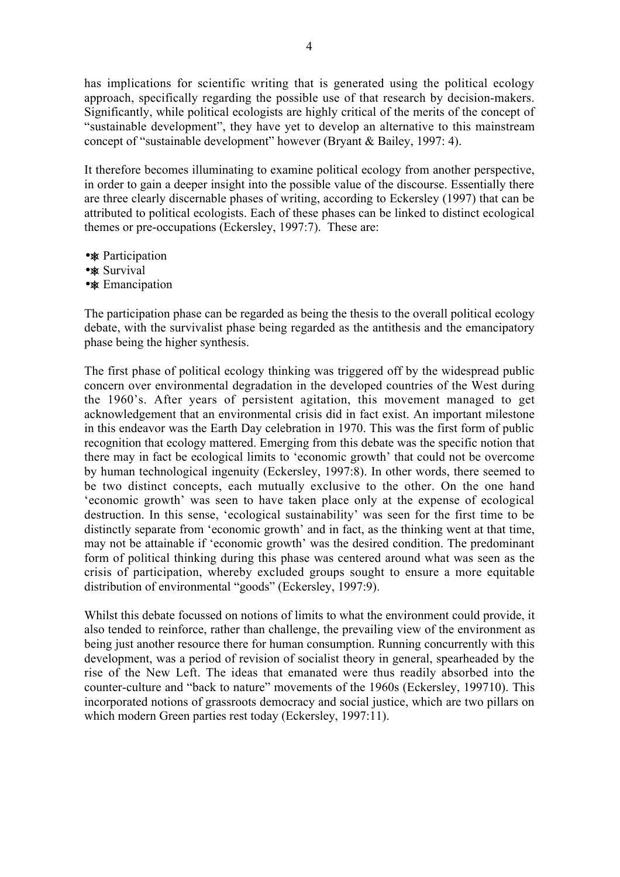has implications for scientific writing that is generated using the political ecology approach, specifically regarding the possible use of that research by decision-makers. Significantly, while political ecologists are highly critical of the merits of the concept of "sustainable development", they have yet to develop an alternative to this mainstream concept of "sustainable development" however (Bryant & Bailey, 1997: 4).

It therefore becomes illuminating to examine political ecology from another perspective, in order to gain a deeper insight into the possible value of the discourse. Essentially there are three clearly discernable phases of writing, according to Eckersley (1997) that can be attributed to political ecologists. Each of these phases can be linked to distinct ecological themes or pre-occupations (Eckersley, 1997:7). These are:

- Participation
- Survival
- Emancipation

The participation phase can be regarded as being the thesis to the overall political ecology debate, with the survivalist phase being regarded as the antithesis and the emancipatory phase being the higher synthesis.

The first phase of political ecology thinking was triggered off by the widespread public concern over environmental degradation in the developed countries of the West during the 1960's. After years of persistent agitation, this movement managed to get acknowledgement that an environmental crisis did in fact exist. An important milestone in this endeavor was the Earth Day celebration in 1970. This was the first form of public recognition that ecology mattered. Emerging from this debate was the specific notion that there may in fact be ecological limits to 'economic growth' that could not be overcome by human technological ingenuity (Eckersley, 1997:8). In other words, there seemed to be two distinct concepts, each mutually exclusive to the other. On the one hand 'economic growth' was seen to have taken place only at the expense of ecological destruction. In this sense, 'ecological sustainability' was seen for the first time to be distinctly separate from 'economic growth' and in fact, as the thinking went at that time, may not be attainable if 'economic growth' was the desired condition. The predominant form of political thinking during this phase was centered around what was seen as the crisis of participation, whereby excluded groups sought to ensure a more equitable distribution of environmental "goods" (Eckersley, 1997:9).

Whilst this debate focussed on notions of limits to what the environment could provide, it also tended to reinforce, rather than challenge, the prevailing view of the environment as being just another resource there for human consumption. Running concurrently with this development, was a period of revision of socialist theory in general, spearheaded by the rise of the New Left. The ideas that emanated were thus readily absorbed into the counter-culture and "back to nature" movements of the 1960s (Eckersley, 199710). This incorporated notions of grassroots democracy and social justice, which are two pillars on which modern Green parties rest today (Eckersley, 1997:11).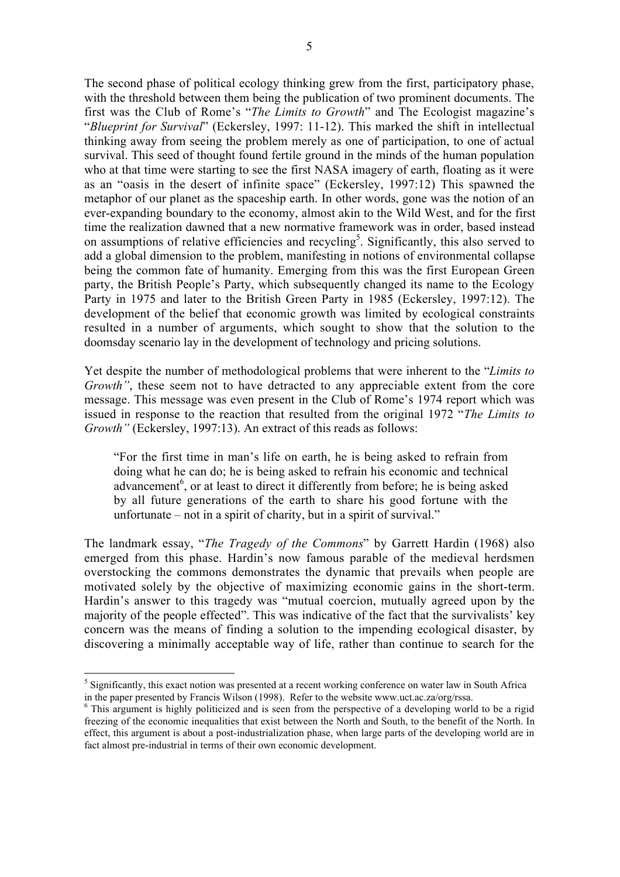The second phase of political ecology thinking grew from the first, participatory phase, with the threshold between them being the publication of two prominent documents. The first was the Club of Rome's "*The Limits to Growth*" and The Ecologist magazine's "*Blueprint for Survival*" (Eckersley, 1997: 11-12). This marked the shift in intellectual thinking away from seeing the problem merely as one of participation, to one of actual survival. This seed of thought found fertile ground in the minds of the human population who at that time were starting to see the first NASA imagery of earth, floating as it were as an "oasis in the desert of infinite space" (Eckersley, 1997:12) This spawned the metaphor of our planet as the spaceship earth. In other words, gone was the notion of an ever-expanding boundary to the economy, almost akin to the Wild West, and for the first time the realization dawned that a new normative framework was in order, based instead on assumptions of relative efficiencies and recycling<sup>5</sup>. Significantly, this also served to add a global dimension to the problem, manifesting in notions of environmental collapse being the common fate of humanity. Emerging from this was the first European Green party, the British People's Party, which subsequently changed its name to the Ecology Party in 1975 and later to the British Green Party in 1985 (Eckersley, 1997:12). The development of the belief that economic growth was limited by ecological constraints resulted in a number of arguments, which sought to show that the solution to the doomsday scenario lay in the development of technology and pricing solutions.

Yet despite the number of methodological problems that were inherent to the "*Limits to Growth"*, these seem not to have detracted to any appreciable extent from the core message. This message was even present in the Club of Rome's 1974 report which was issued in response to the reaction that resulted from the original 1972 "*The Limits to Growth*" (Eckersley, 1997:13). An extract of this reads as follows:

"For the first time in man's life on earth, he is being asked to refrain from doing what he can do; he is being asked to refrain his economic and technical advancement<sup>6</sup>, or at least to direct it differently from before; he is being asked by all future generations of the earth to share his good fortune with the unfortunate – not in a spirit of charity, but in a spirit of survival."

The landmark essay, "*The Tragedy of the Commons*" by Garrett Hardin (1968) also emerged from this phase. Hardin's now famous parable of the medieval herdsmen overstocking the commons demonstrates the dynamic that prevails when people are motivated solely by the objective of maximizing economic gains in the short-term. Hardin's answer to this tragedy was "mutual coercion, mutually agreed upon by the majority of the people effected". This was indicative of the fact that the survivalists' key concern was the means of finding a solution to the impending ecological disaster, by discovering a minimally acceptable way of life, rather than continue to search for the

 <sup>5</sup> <sup>5</sup> Significantly, this exact notion was presented at a recent working conference on water law in South Africa in the paper presented by Francis Wilson (1998). Refer to the website www.uct.ac.za/org/rssa.

<sup>&</sup>lt;sup>6</sup> This argument is highly politicized and is seen from the perspective of a developing world to be a rigid freezing of the economic inequalities that exist between the North and South, to the benefit of the North. In effect, this argument is about a post-industrialization phase, when large parts of the developing world are in fact almost pre-industrial in terms of their own economic development.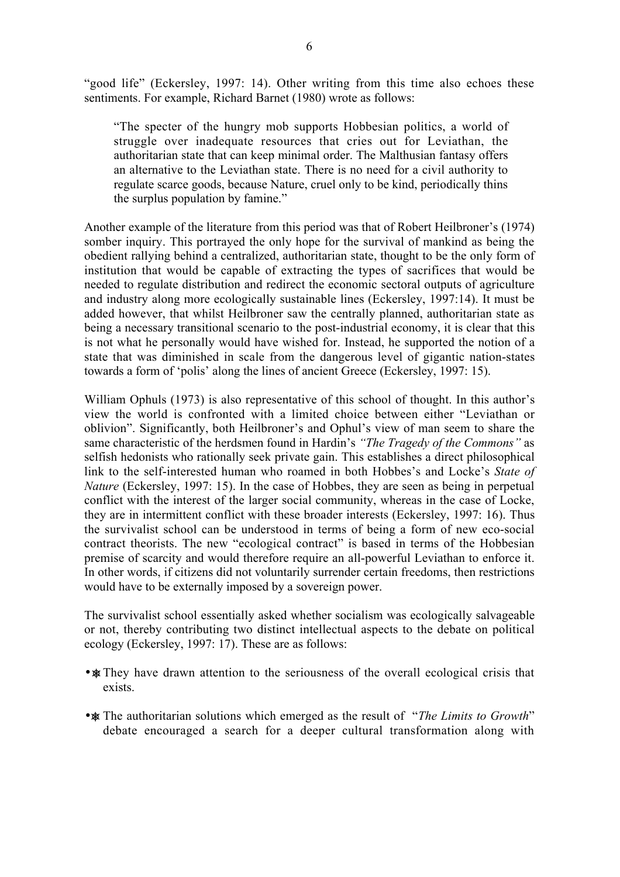"good life" (Eckersley, 1997: 14). Other writing from this time also echoes these sentiments. For example, Richard Barnet (1980) wrote as follows:

"The specter of the hungry mob supports Hobbesian politics, a world of struggle over inadequate resources that cries out for Leviathan, the authoritarian state that can keep minimal order. The Malthusian fantasy offers an alternative to the Leviathan state. There is no need for a civil authority to regulate scarce goods, because Nature, cruel only to be kind, periodically thins the surplus population by famine."

Another example of the literature from this period was that of Robert Heilbroner's (1974) somber inquiry. This portrayed the only hope for the survival of mankind as being the obedient rallying behind a centralized, authoritarian state, thought to be the only form of institution that would be capable of extracting the types of sacrifices that would be needed to regulate distribution and redirect the economic sectoral outputs of agriculture and industry along more ecologically sustainable lines (Eckersley, 1997:14). It must be added however, that whilst Heilbroner saw the centrally planned, authoritarian state as being a necessary transitional scenario to the post-industrial economy, it is clear that this is not what he personally would have wished for. Instead, he supported the notion of a state that was diminished in scale from the dangerous level of gigantic nation-states towards a form of 'polis' along the lines of ancient Greece (Eckersley, 1997: 15).

William Ophuls (1973) is also representative of this school of thought. In this author's view the world is confronted with a limited choice between either "Leviathan or oblivion". Significantly, both Heilbroner's and Ophul's view of man seem to share the same characteristic of the herdsmen found in Hardin's *"The Tragedy of the Commons"* as selfish hedonists who rationally seek private gain. This establishes a direct philosophical link to the self-interested human who roamed in both Hobbes's and Locke's *State of Nature* (Eckersley, 1997: 15). In the case of Hobbes, they are seen as being in perpetual conflict with the interest of the larger social community, whereas in the case of Locke, they are in intermittent conflict with these broader interests (Eckersley, 1997: 16). Thus the survivalist school can be understood in terms of being a form of new eco-social contract theorists. The new "ecological contract" is based in terms of the Hobbesian premise of scarcity and would therefore require an all-powerful Leviathan to enforce it. In other words, if citizens did not voluntarily surrender certain freedoms, then restrictions would have to be externally imposed by a sovereign power.

The survivalist school essentially asked whether socialism was ecologically salvageable or not, thereby contributing two distinct intellectual aspects to the debate on political ecology (Eckersley, 1997: 17). These are as follows:

- $\ast$  They have drawn attention to the seriousness of the overall ecological crisis that exists.
- $\bullet$  The authoritarian solutions which emerged as the result of "*The Limits to Growth*" debate encouraged a search for a deeper cultural transformation along with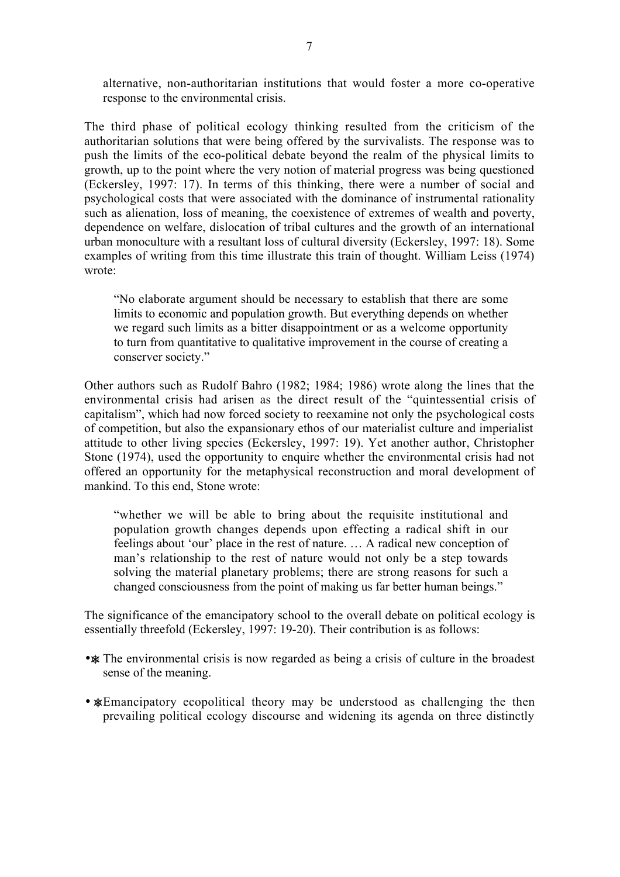alternative, non-authoritarian institutions that would foster a more co-operative response to the environmental crisis.

The third phase of political ecology thinking resulted from the criticism of the authoritarian solutions that were being offered by the survivalists. The response was to push the limits of the eco-political debate beyond the realm of the physical limits to growth, up to the point where the very notion of material progress was being questioned (Eckersley, 1997: 17). In terms of this thinking, there were a number of social and psychological costs that were associated with the dominance of instrumental rationality such as alienation, loss of meaning, the coexistence of extremes of wealth and poverty, dependence on welfare, dislocation of tribal cultures and the growth of an international urban monoculture with a resultant loss of cultural diversity (Eckersley, 1997: 18). Some examples of writing from this time illustrate this train of thought. William Leiss (1974) wrote:

"No elaborate argument should be necessary to establish that there are some limits to economic and population growth. But everything depends on whether we regard such limits as a bitter disappointment or as a welcome opportunity to turn from quantitative to qualitative improvement in the course of creating a conserver society."

Other authors such as Rudolf Bahro (1982; 1984; 1986) wrote along the lines that the environmental crisis had arisen as the direct result of the "quintessential crisis of capitalism", which had now forced society to reexamine not only the psychological costs of competition, but also the expansionary ethos of our materialist culture and imperialist attitude to other living species (Eckersley, 1997: 19). Yet another author, Christopher Stone (1974), used the opportunity to enquire whether the environmental crisis had not offered an opportunity for the metaphysical reconstruction and moral development of mankind. To this end. Stone wrote:

"whether we will be able to bring about the requisite institutional and population growth changes depends upon effecting a radical shift in our feelings about 'our' place in the rest of nature. … A radical new conception of man's relationship to the rest of nature would not only be a step towards solving the material planetary problems; there are strong reasons for such a changed consciousness from the point of making us far better human beings."

The significance of the emancipatory school to the overall debate on political ecology is essentially threefold (Eckersley, 1997: 19-20). Their contribution is as follows:

- $\bullet$  The environmental crisis is now regarded as being a crisis of culture in the broadest sense of the meaning.
- **\*Emancipatory** ecopolitical theory may be understood as challenging the then prevailing political ecology discourse and widening its agenda on three distinctly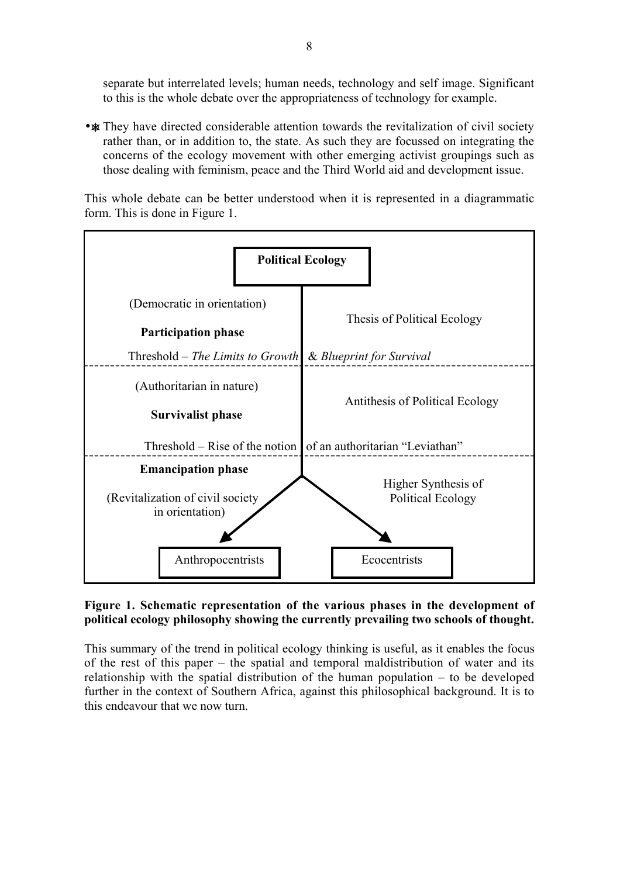separate but interrelated levels; human needs, technology and self image. Significant to this is the whole debate over the appropriateness of technology for example.

•  $\ast$  They have directed considerable attention towards the revitalization of civil society rather than, or in addition to, the state. As such they are focussed on integrating the concerns of the ecology movement with other emerging activist groupings such as those dealing with feminism, peace and the Third World aid and development issue.

This whole debate can be better understood when it is represented in a diagrammatic form. This is done in Figure 1.



# **Figure 1. Schematic representation of the various phases in the development of political ecology philosophy showing the currently prevailing two schools of thought.**

This summary of the trend in political ecology thinking is useful, as it enables the focus of the rest of this paper – the spatial and temporal maldistribution of water and its relationship with the spatial distribution of the human population – to be developed further in the context of Southern Africa, against this philosophical background. It is to this endeavour that we now turn.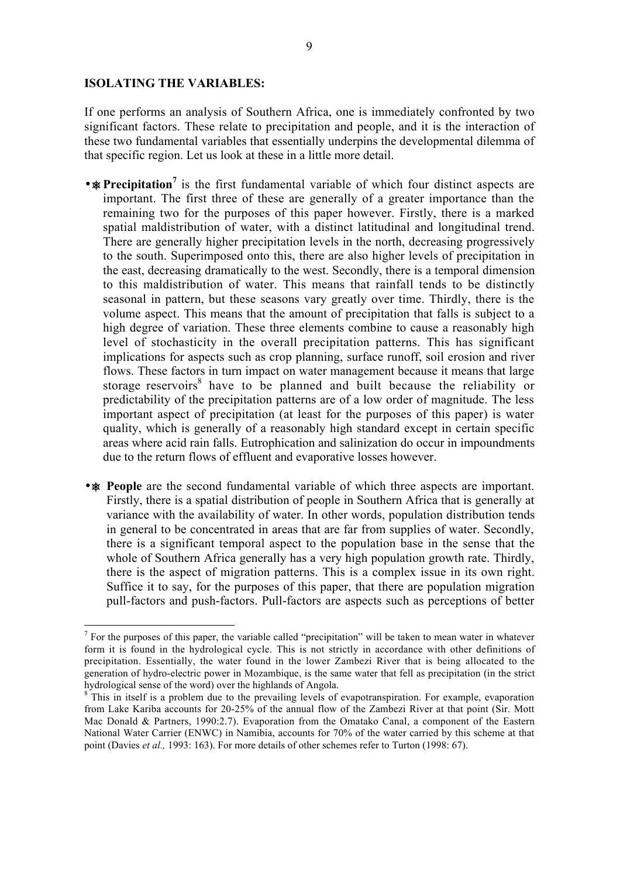#### **ISOLATING THE VARIABLES:**

If one performs an analysis of Southern Africa, one is immediately confronted by two significant factors. These relate to precipitation and people, and it is the interaction of these two fundamental variables that essentially underpins the developmental dilemma of that specific region. Let us look at these in a little more detail.

- **\* Precipitation**<sup>7</sup> is the first fundamental variable of which four distinct aspects are important. The first three of these are generally of a greater importance than the remaining two for the purposes of this paper however. Firstly, there is a marked spatial maldistribution of water, with a distinct latitudinal and longitudinal trend. There are generally higher precipitation levels in the north, decreasing progressively to the south. Superimposed onto this, there are also higher levels of precipitation in the east, decreasing dramatically to the west. Secondly, there is a temporal dimension to this maldistribution of water. This means that rainfall tends to be distinctly seasonal in pattern, but these seasons vary greatly over time. Thirdly, there is the volume aspect. This means that the amount of precipitation that falls is subject to a high degree of variation. These three elements combine to cause a reasonably high level of stochasticity in the overall precipitation patterns. This has significant implications for aspects such as crop planning, surface runoff, soil erosion and river flows. These factors in turn impact on water management because it means that large storage reservoirs<sup>8</sup> have to be planned and built because the reliability or predictability of the precipitation patterns are of a low order of magnitude. The less important aspect of precipitation (at least for the purposes of this paper) is water quality, which is generally of a reasonably high standard except in certain specific areas where acid rain falls. Eutrophication and salinization do occur in impoundments due to the return flows of effluent and evaporative losses however.
- **Reople** are the second fundamental variable of which three aspects are important. Firstly, there is a spatial distribution of people in Southern Africa that is generally at variance with the availability of water. In other words, population distribution tends in general to be concentrated in areas that are far from supplies of water. Secondly, there is a significant temporal aspect to the population base in the sense that the whole of Southern Africa generally has a very high population growth rate. Thirdly, there is the aspect of migration patterns. This is a complex issue in its own right. Suffice it to say, for the purposes of this paper, that there are population migration pull-factors and push-factors. Pull-factors are aspects such as perceptions of better

 <sup>7</sup> <sup>7</sup> For the purposes of this paper, the variable called "precipitation" will be taken to mean water in whatever form it is found in the hydrological cycle. This is not strictly in accordance with other definitions of precipitation. Essentially, the water found in the lower Zambezi River that is being allocated to the generation of hydro-electric power in Mozambique, is the same water that fell as precipitation (in the strict hydrological sense of the word) over the highlands of Angola.

<sup>&</sup>lt;sup>8</sup> This in itself is a problem due to the prevailing levels of evapotranspiration. For example, evaporation from Lake Kariba accounts for 20-25% of the annual flow of the Zambezi River at that point (Sir. Mott Mac Donald & Partners, 1990:2.7). Evaporation from the Omatako Canal, a component of the Eastern National Water Carrier (ENWC) in Namibia, accounts for 70% of the water carried by this scheme at that point (Davies *et al.,* 1993: 163). For more details of other schemes refer to Turton (1998: 67).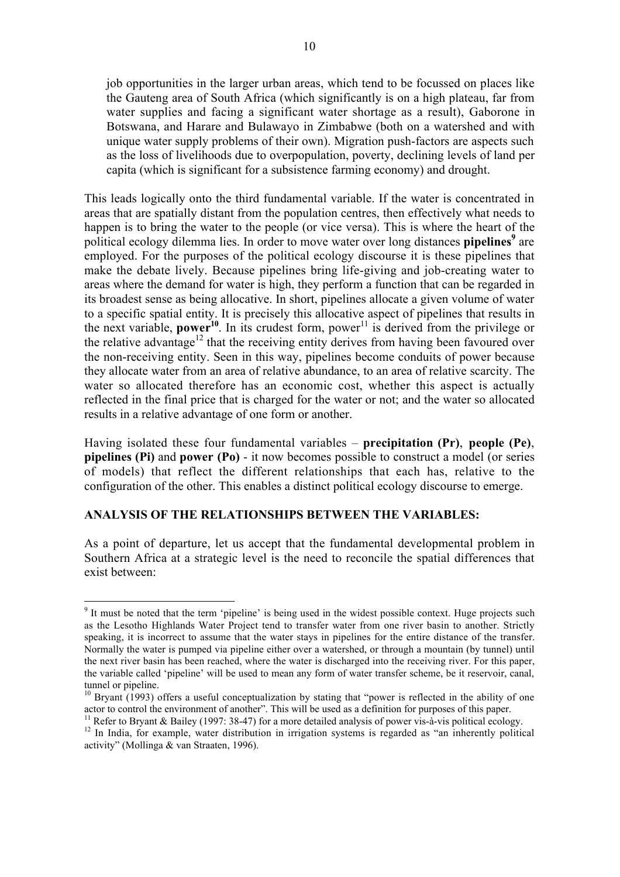job opportunities in the larger urban areas, which tend to be focussed on places like the Gauteng area of South Africa (which significantly is on a high plateau, far from water supplies and facing a significant water shortage as a result), Gaborone in Botswana, and Harare and Bulawayo in Zimbabwe (both on a watershed and with unique water supply problems of their own). Migration push-factors are aspects such as the loss of livelihoods due to overpopulation, poverty, declining levels of land per capita (which is significant for a subsistence farming economy) and drought.

This leads logically onto the third fundamental variable. If the water is concentrated in areas that are spatially distant from the population centres, then effectively what needs to happen is to bring the water to the people (or vice versa). This is where the heart of the political ecology dilemma lies. In order to move water over long distances **pipelines**<sup>9</sup> are employed. For the purposes of the political ecology discourse it is these pipelines that make the debate lively. Because pipelines bring life-giving and job-creating water to areas where the demand for water is high, they perform a function that can be regarded in its broadest sense as being allocative. In short, pipelines allocate a given volume of water to a specific spatial entity. It is precisely this allocative aspect of pipelines that results in the next variable,  $power^{10}$ . In its crudest form,  $power^{11}$  is derived from the privilege or the relative advantage<sup>12</sup> that the receiving entity derives from having been favoured over the non-receiving entity. Seen in this way, pipelines become conduits of power because they allocate water from an area of relative abundance, to an area of relative scarcity. The water so allocated therefore has an economic cost, whether this aspect is actually reflected in the final price that is charged for the water or not; and the water so allocated results in a relative advantage of one form or another.

Having isolated these four fundamental variables – **precipitation (Pr)**, **people (Pe)**, **pipelines (Pi)** and **power (Po)** - it now becomes possible to construct a model (or series of models) that reflect the different relationships that each has, relative to the configuration of the other. This enables a distinct political ecology discourse to emerge.

#### **ANALYSIS OF THE RELATIONSHIPS BETWEEN THE VARIABLES:**

As a point of departure, let us accept that the fundamental developmental problem in Southern Africa at a strategic level is the need to reconcile the spatial differences that exist between:

<sup>-&</sup>lt;br>9 <sup>9</sup> It must be noted that the term 'pipeline' is being used in the widest possible context. Huge projects such as the Lesotho Highlands Water Project tend to transfer water from one river basin to another. Strictly speaking, it is incorrect to assume that the water stays in pipelines for the entire distance of the transfer. Normally the water is pumped via pipeline either over a watershed, or through a mountain (by tunnel) until the next river basin has been reached, where the water is discharged into the receiving river. For this paper, the variable called 'pipeline' will be used to mean any form of water transfer scheme, be it reservoir, canal, tunnel or pipeline.

Bryant (1993) offers a useful conceptualization by stating that "power is reflected in the ability of one actor to control the environment of another". This will be used as a definition for purposes of this paper.

<sup>&</sup>lt;sup>11</sup> Refer to Bryant & Bailey (1997: 38-47) for a more detailed analysis of power vis-à-vis political ecology.

<sup>&</sup>lt;sup>12</sup> In India, for example, water distribution in irrigation systems is regarded as "an inherently political activity" (Mollinga & van Straaten, 1996).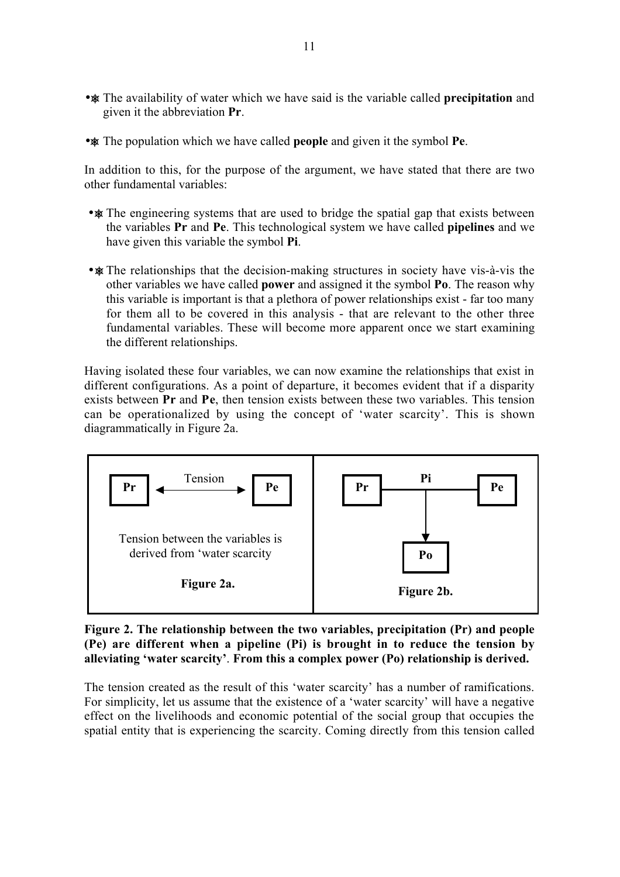- The availability of water which we have said is the variable called **precipitation** and given it the abbreviation **Pr**.
- The population which we have called **people** and given it the symbol **Pe**.

In addition to this, for the purpose of the argument, we have stated that there are two other fundamental variables:

- $\bullet$  The engineering systems that are used to bridge the spatial gap that exists between the variables **Pr** and **Pe**. This technological system we have called **pipelines** and we have given this variable the symbol **Pi**.
- $\ast$  The relationships that the decision-making structures in society have vis-à-vis the other variables we have called **power** and assigned it the symbol **Po**. The reason why this variable is important is that a plethora of power relationships exist - far too many for them all to be covered in this analysis - that are relevant to the other three fundamental variables. These will become more apparent once we start examining the different relationships.

Having isolated these four variables, we can now examine the relationships that exist in different configurations. As a point of departure, it becomes evident that if a disparity exists between **Pr** and **Pe**, then tension exists between these two variables. This tension can be operationalized by using the concept of 'water scarcity'. This is shown diagrammatically in Figure 2a.



# **Figure 2. The relationship between the two variables, precipitation (Pr) and people (Pe) are different when a pipeline (Pi) is brought in to reduce the tension by alleviating 'water scarcity'**. **From this a complex power (Po) relationship is derived.**

The tension created as the result of this 'water scarcity' has a number of ramifications. For simplicity, let us assume that the existence of a 'water scarcity' will have a negative effect on the livelihoods and economic potential of the social group that occupies the spatial entity that is experiencing the scarcity. Coming directly from this tension called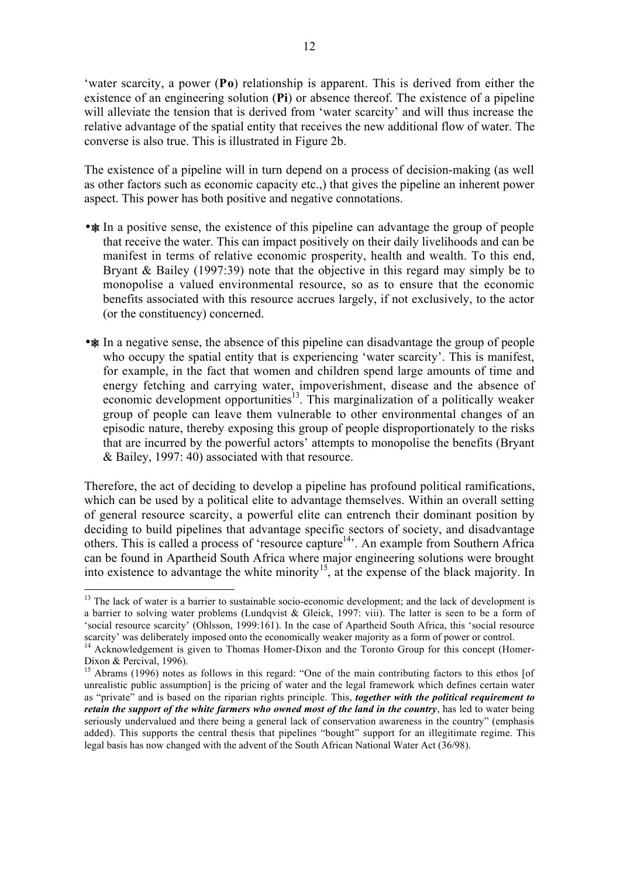'water scarcity, a power (**Po**) relationship is apparent. This is derived from either the existence of an engineering solution (**Pi**) or absence thereof. The existence of a pipeline will alleviate the tension that is derived from 'water scarcity' and will thus increase the relative advantage of the spatial entity that receives the new additional flow of water. The converse is also true. This is illustrated in Figure 2b.

The existence of a pipeline will in turn depend on a process of decision-making (as well as other factors such as economic capacity etc.,) that gives the pipeline an inherent power aspect. This power has both positive and negative connotations.

- $\ast$  In a positive sense, the existence of this pipeline can advantage the group of people that receive the water. This can impact positively on their daily livelihoods and can be manifest in terms of relative economic prosperity, health and wealth. To this end, Bryant & Bailey (1997:39) note that the objective in this regard may simply be to monopolise a valued environmental resource, so as to ensure that the economic benefits associated with this resource accrues largely, if not exclusively, to the actor (or the constituency) concerned.
- $\bullet$  In a negative sense, the absence of this pipeline can disadvantage the group of people who occupy the spatial entity that is experiencing 'water scarcity'. This is manifest, for example, in the fact that women and children spend large amounts of time and energy fetching and carrying water, impoverishment, disease and the absence of economic development opportunities<sup>13</sup>. This marginalization of a politically weaker group of people can leave them vulnerable to other environmental changes of an episodic nature, thereby exposing this group of people disproportionately to the risks that are incurred by the powerful actors' attempts to monopolise the benefits (Bryant & Bailey, 1997: 40) associated with that resource.

Therefore, the act of deciding to develop a pipeline has profound political ramifications, which can be used by a political elite to advantage themselves. Within an overall setting of general resource scarcity, a powerful elite can entrench their dominant position by deciding to build pipelines that advantage specific sectors of society, and disadvantage others. This is called a process of 'resource capture<sup>14</sup>'. An example from Southern Africa can be found in Apartheid South Africa where major engineering solutions were brought into existence to advantage the white minority<sup>15</sup>, at the expense of the black majority. In

<sup>&</sup>lt;sup>13</sup> The lack of water is a barrier to sustainable socio-economic development; and the lack of development is a barrier to solving water problems (Lundqvist & Gleick, 1997: viii). The latter is seen to be a form of 'social resource scarcity' (Ohlsson, 1999:161). In the case of Apartheid South Africa, this 'social resource scarcity' was deliberately imposed onto the economically weaker majority as a form of power or control.

<sup>&</sup>lt;sup>14</sup> Acknowledgement is given to Thomas Homer-Dixon and the Toronto Group for this concept (Homer-Dixon & Percival, 1996).

<sup>15</sup> Abrams (1996) notes as follows in this regard: "One of the main contributing factors to this ethos [of unrealistic public assumption] is the pricing of water and the legal framework which defines certain water as "private" and is based on the riparian rights principle. This, *together with the political requirement to retain the support of the white farmers who owned most of the land in the country*, has led to water being seriously undervalued and there being a general lack of conservation awareness in the country" (emphasis added). This supports the central thesis that pipelines "bought" support for an illegitimate regime. This legal basis has now changed with the advent of the South African National Water Act (36/98).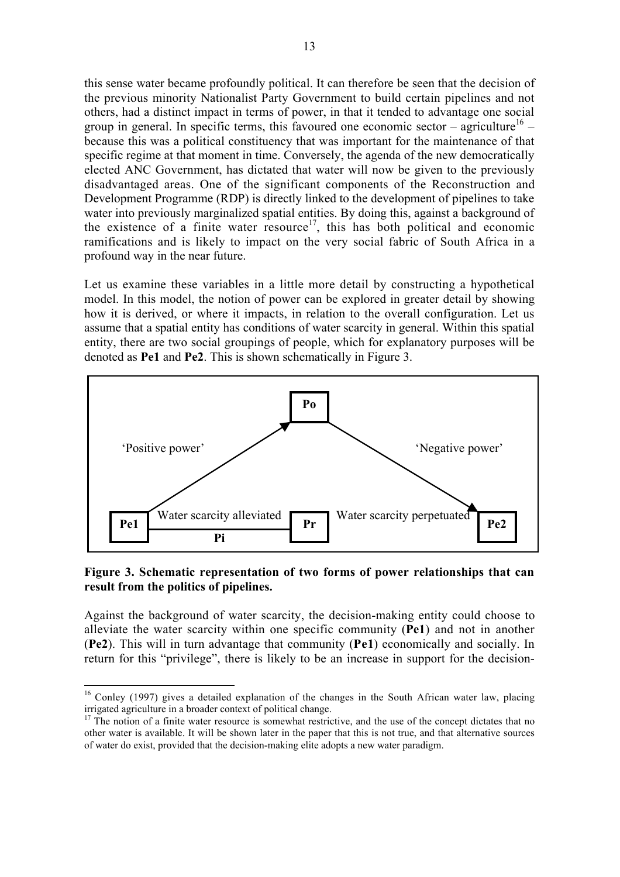this sense water became profoundly political. It can therefore be seen that the decision of the previous minority Nationalist Party Government to build certain pipelines and not others, had a distinct impact in terms of power, in that it tended to advantage one social group in general. In specific terms, this favoured one economic sector – agriculture<sup>16</sup> – because this was a political constituency that was important for the maintenance of that specific regime at that moment in time. Conversely, the agenda of the new democratically elected ANC Government, has dictated that water will now be given to the previously disadvantaged areas. One of the significant components of the Reconstruction and Development Programme (RDP) is directly linked to the development of pipelines to take water into previously marginalized spatial entities. By doing this, against a background of the existence of a finite water  $r$ esource<sup>17</sup>, this has both political and economic ramifications and is likely to impact on the very social fabric of South Africa in a profound way in the near future.

Let us examine these variables in a little more detail by constructing a hypothetical model. In this model, the notion of power can be explored in greater detail by showing how it is derived, or where it impacts, in relation to the overall configuration. Let us assume that a spatial entity has conditions of water scarcity in general. Within this spatial entity, there are two social groupings of people, which for explanatory purposes will be denoted as **Pe1** and **Pe2**. This is shown schematically in Figure 3.



# **Figure 3. Schematic representation of two forms of power relationships that can result from the politics of pipelines.**

Against the background of water scarcity, the decision-making entity could choose to alleviate the water scarcity within one specific community (**Pe1**) and not in another (**Pe2**). This will in turn advantage that community (**Pe1**) economically and socially. In return for this "privilege", there is likely to be an increase in support for the decision-

<sup>&</sup>lt;sup>16</sup> Conley (1997) gives a detailed explanation of the changes in the South African water law, placing irrigated agriculture in a broader context of political change.

<sup>&</sup>lt;sup>17</sup> The notion of a finite water resource is somewhat restrictive, and the use of the concept dictates that no other water is available. It will be shown later in the paper that this is not true, and that alternative sources of water do exist, provided that the decision-making elite adopts a new water paradigm.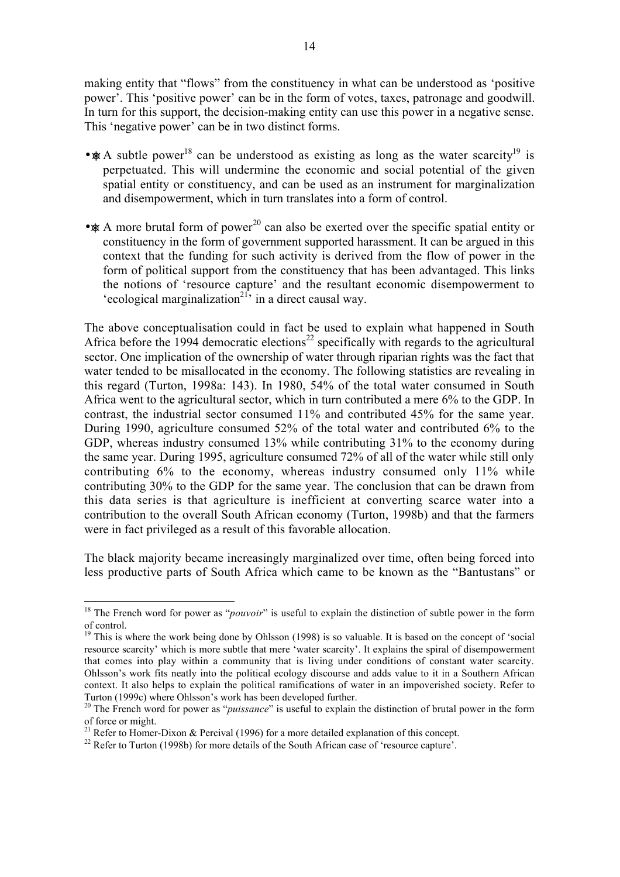making entity that "flows" from the constituency in what can be understood as 'positive power'. This 'positive power' can be in the form of votes, taxes, patronage and goodwill. In turn for this support, the decision-making entity can use this power in a negative sense. This 'negative power' can be in two distinct forms.

- $\triangle$  A subtle power<sup>18</sup> can be understood as existing as long as the water scarcity<sup>19</sup> is perpetuated. This will undermine the economic and social potential of the given spatial entity or constituency, and can be used as an instrument for marginalization and disempowerment, which in turn translates into a form of control.
- $\bullet$  A more brutal form of power<sup>20</sup> can also be exerted over the specific spatial entity or constituency in the form of government supported harassment. It can be argued in this context that the funding for such activity is derived from the flow of power in the form of political support from the constituency that has been advantaged. This links the notions of 'resource capture' and the resultant economic disempowerment to  $\text{``ecological marginalization}^{21'}$  in a direct causal way.

The above conceptualisation could in fact be used to explain what happened in South Africa before the 1994 democratic elections<sup>22</sup> specifically with regards to the agricultural sector. One implication of the ownership of water through riparian rights was the fact that water tended to be misallocated in the economy. The following statistics are revealing in this regard (Turton, 1998a: 143). In 1980, 54% of the total water consumed in South Africa went to the agricultural sector, which in turn contributed a mere 6% to the GDP. In contrast, the industrial sector consumed 11% and contributed 45% for the same year. During 1990, agriculture consumed 52% of the total water and contributed 6% to the GDP, whereas industry consumed 13% while contributing 31% to the economy during the same year. During 1995, agriculture consumed 72% of all of the water while still only contributing 6% to the economy, whereas industry consumed only 11% while contributing 30% to the GDP for the same year. The conclusion that can be drawn from this data series is that agriculture is inefficient at converting scarce water into a contribution to the overall South African economy (Turton, 1998b) and that the farmers were in fact privileged as a result of this favorable allocation.

The black majority became increasingly marginalized over time, often being forced into less productive parts of South Africa which came to be known as the "Bantustans" or

<sup>&</sup>lt;sup>18</sup> The French word for power as "*pouvoir*" is useful to explain the distinction of subtle power in the form of control.

<sup>&</sup>lt;sup>19</sup> This is where the work being done by Ohlsson (1998) is so valuable. It is based on the concept of 'social resource scarcity' which is more subtle that mere 'water scarcity'. It explains the spiral of disempowerment that comes into play within a community that is living under conditions of constant water scarcity. Ohlsson's work fits neatly into the political ecology discourse and adds value to it in a Southern African context. It also helps to explain the political ramifications of water in an impoverished society. Refer to Turton (1999c) where Ohlsson's work has been developed further.

<sup>&</sup>lt;sup>20</sup> The French word for power as "*puissance*" is useful to explain the distinction of brutal power in the form of force or might.

<sup>&</sup>lt;sup>21</sup> Refer to Homer-Dixon & Percival (1996) for a more detailed explanation of this concept.

<sup>&</sup>lt;sup>22</sup> Refer to Turton (1998b) for more details of the South African case of 'resource capture'.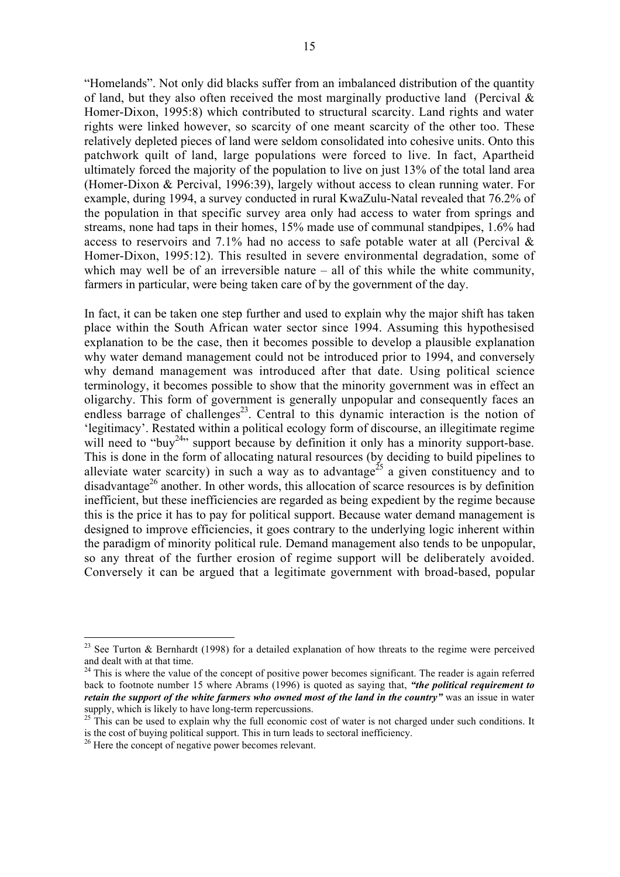"Homelands". Not only did blacks suffer from an imbalanced distribution of the quantity of land, but they also often received the most marginally productive land (Percival  $\&$ Homer-Dixon, 1995:8) which contributed to structural scarcity. Land rights and water rights were linked however, so scarcity of one meant scarcity of the other too. These relatively depleted pieces of land were seldom consolidated into cohesive units. Onto this patchwork quilt of land, large populations were forced to live. In fact, Apartheid ultimately forced the majority of the population to live on just 13% of the total land area (Homer-Dixon & Percival, 1996:39), largely without access to clean running water. For example, during 1994, a survey conducted in rural KwaZulu-Natal revealed that 76.2% of the population in that specific survey area only had access to water from springs and streams, none had taps in their homes, 15% made use of communal standpipes, 1.6% had access to reservoirs and 7.1% had no access to safe potable water at all (Percival & Homer-Dixon, 1995:12). This resulted in severe environmental degradation, some of which may well be of an irreversible nature  $-$  all of this while the white community, farmers in particular, were being taken care of by the government of the day.

In fact, it can be taken one step further and used to explain why the major shift has taken place within the South African water sector since 1994. Assuming this hypothesised explanation to be the case, then it becomes possible to develop a plausible explanation why water demand management could not be introduced prior to 1994, and conversely why demand management was introduced after that date. Using political science terminology, it becomes possible to show that the minority government was in effect an oligarchy. This form of government is generally unpopular and consequently faces an endless barrage of challenges<sup>23</sup>. Central to this dynamic interaction is the notion of 'legitimacy'. Restated within a political ecology form of discourse, an illegitimate regime will need to "buy<sup>24</sup>" support because by definition it only has a minority support-base. This is done in the form of allocating natural resources (by deciding to build pipelines to alleviate water scarcity) in such a way as to advantage<sup>25</sup> a given constituency and to  $disadvantage<sup>26</sup> another. In other words, this allocation of scarce resources is by definition$ inefficient, but these inefficiencies are regarded as being expedient by the regime because this is the price it has to pay for political support. Because water demand management is designed to improve efficiencies, it goes contrary to the underlying logic inherent within the paradigm of minority political rule. Demand management also tends to be unpopular, so any threat of the further erosion of regime support will be deliberately avoided. Conversely it can be argued that a legitimate government with broad-based, popular

<sup>&</sup>lt;sup>23</sup> See Turton & Bernhardt (1998) for a detailed explanation of how threats to the regime were perceived and dealt with at that time.

 $24$  This is where the value of the concept of positive power becomes significant. The reader is again referred back to footnote number 15 where Abrams (1996) is quoted as saying that, *"the political requirement to retain the support of the white farmers who owned most of the land in the country"* was an issue in water supply, which is likely to have long-term repercussions.

<sup>&</sup>lt;sup>25</sup> This can be used to explain why the full economic cost of water is not charged under such conditions. It is the cost of buying political support. This in turn leads to sectoral inefficiency.

<sup>&</sup>lt;sup>26</sup> Here the concept of negative power becomes relevant.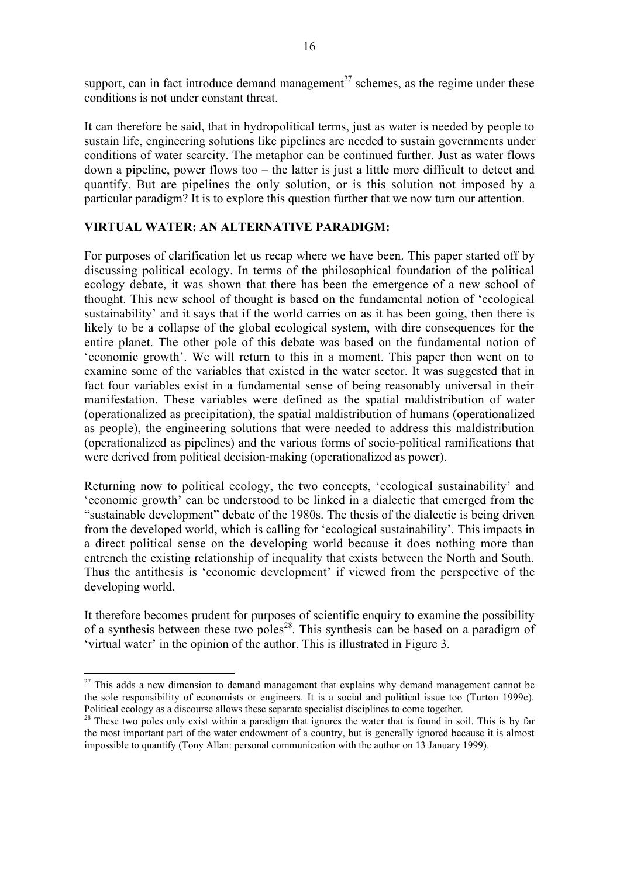support, can in fact introduce demand management<sup>27</sup> schemes, as the regime under these conditions is not under constant threat.

It can therefore be said, that in hydropolitical terms, just as water is needed by people to sustain life, engineering solutions like pipelines are needed to sustain governments under conditions of water scarcity. The metaphor can be continued further. Just as water flows down a pipeline, power flows too – the latter is just a little more difficult to detect and quantify. But are pipelines the only solution, or is this solution not imposed by a particular paradigm? It is to explore this question further that we now turn our attention.

# **VIRTUAL WATER: AN ALTERNATIVE PARADIGM:**

For purposes of clarification let us recap where we have been. This paper started off by discussing political ecology. In terms of the philosophical foundation of the political ecology debate, it was shown that there has been the emergence of a new school of thought. This new school of thought is based on the fundamental notion of 'ecological sustainability' and it says that if the world carries on as it has been going, then there is likely to be a collapse of the global ecological system, with dire consequences for the entire planet. The other pole of this debate was based on the fundamental notion of 'economic growth'. We will return to this in a moment. This paper then went on to examine some of the variables that existed in the water sector. It was suggested that in fact four variables exist in a fundamental sense of being reasonably universal in their manifestation. These variables were defined as the spatial maldistribution of water (operationalized as precipitation), the spatial maldistribution of humans (operationalized as people), the engineering solutions that were needed to address this maldistribution (operationalized as pipelines) and the various forms of socio-political ramifications that were derived from political decision-making (operationalized as power).

Returning now to political ecology, the two concepts, 'ecological sustainability' and 'economic growth' can be understood to be linked in a dialectic that emerged from the "sustainable development" debate of the 1980s. The thesis of the dialectic is being driven from the developed world, which is calling for 'ecological sustainability'. This impacts in a direct political sense on the developing world because it does nothing more than entrench the existing relationship of inequality that exists between the North and South. Thus the antithesis is 'economic development' if viewed from the perspective of the developing world.

It therefore becomes prudent for purposes of scientific enquiry to examine the possibility of a synthesis between these two poles<sup>28</sup>. This synthesis can be based on a paradigm of 'virtual water' in the opinion of the author. This is illustrated in Figure 3.

 $27$  This adds a new dimension to demand management that explains why demand management cannot be the sole responsibility of economists or engineers. It is a social and political issue too (Turton 1999c). Political ecology as a discourse allows these separate specialist disciplines to come together.

<sup>&</sup>lt;sup>28</sup> These two poles only exist within a paradigm that ignores the water that is found in soil. This is by far the most important part of the water endowment of a country, but is generally ignored because it is almost impossible to quantify (Tony Allan: personal communication with the author on 13 January 1999).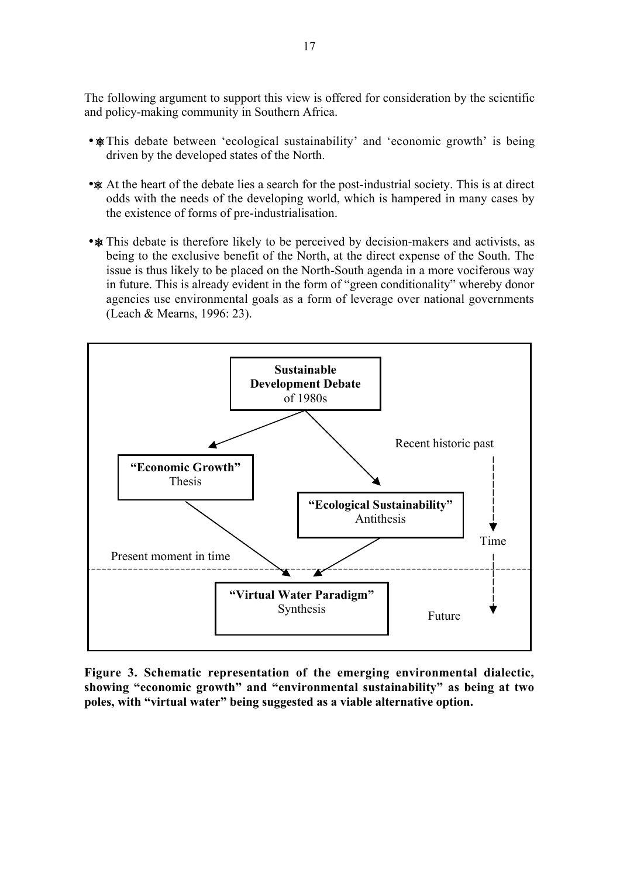The following argument to support this view is offered for consideration by the scientific and policy-making community in Southern Africa.

- $\ast$  This debate between 'ecological sustainability' and 'economic growth' is being driven by the developed states of the North.
- $\ast$  At the heart of the debate lies a search for the post-industrial society. This is at direct odds with the needs of the developing world, which is hampered in many cases by the existence of forms of pre-industrialisation.
- $\ast$  This debate is therefore likely to be perceived by decision-makers and activists, as being to the exclusive benefit of the North, at the direct expense of the South. The issue is thus likely to be placed on the North-South agenda in a more vociferous way in future. This is already evident in the form of "green conditionality" whereby donor agencies use environmental goals as a form of leverage over national governments (Leach & Mearns, 1996: 23).



**Figure 3. Schematic representation of the emerging environmental dialectic, showing "economic growth" and "environmental sustainability" as being at two poles, with "virtual water" being suggested as a viable alternative option.**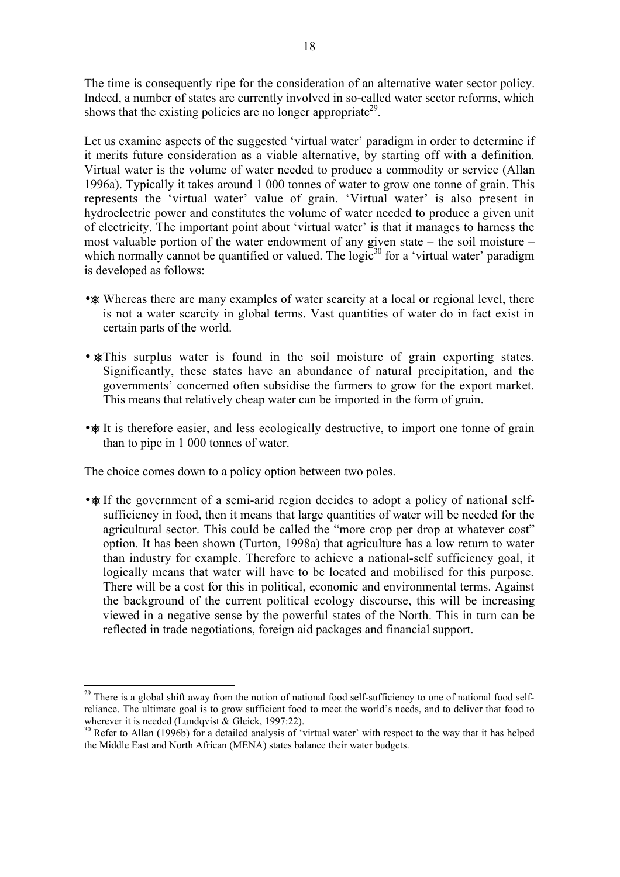The time is consequently ripe for the consideration of an alternative water sector policy. Indeed, a number of states are currently involved in so-called water sector reforms, which shows that the existing policies are no longer appropriate<sup>29</sup>.

Let us examine aspects of the suggested 'virtual water' paradigm in order to determine if it merits future consideration as a viable alternative, by starting off with a definition. Virtual water is the volume of water needed to produce a commodity or service (Allan 1996a). Typically it takes around 1 000 tonnes of water to grow one tonne of grain. This represents the 'virtual water' value of grain. 'Virtual water' is also present in hydroelectric power and constitutes the volume of water needed to produce a given unit of electricity. The important point about 'virtual water' is that it manages to harness the most valuable portion of the water endowment of any given state – the soil moisture – which normally cannot be quantified or valued. The logic<sup>30</sup> for a 'virtual water' paradigm is developed as follows:

- Whereas there are many examples of water scarcity at a local or regional level, there is not a water scarcity in global terms. Vast quantities of water do in fact exist in certain parts of the world.
- $\ast$ This surplus water is found in the soil moisture of grain exporting states. Significantly, these states have an abundance of natural precipitation, and the governments' concerned often subsidise the farmers to grow for the export market. This means that relatively cheap water can be imported in the form of grain.
- $\ast$  It is therefore easier, and less ecologically destructive, to import one tonne of grain than to pipe in 1 000 tonnes of water.

The choice comes down to a policy option between two poles.

•  $\ast$  If the government of a semi-arid region decides to adopt a policy of national selfsufficiency in food, then it means that large quantities of water will be needed for the agricultural sector. This could be called the "more crop per drop at whatever cost" option. It has been shown (Turton, 1998a) that agriculture has a low return to water than industry for example. Therefore to achieve a national-self sufficiency goal, it logically means that water will have to be located and mobilised for this purpose. There will be a cost for this in political, economic and environmental terms. Against the background of the current political ecology discourse, this will be increasing viewed in a negative sense by the powerful states of the North. This in turn can be reflected in trade negotiations, foreign aid packages and financial support.

<sup>&</sup>lt;sup>29</sup> There is a global shift away from the notion of national food self-sufficiency to one of national food selfreliance. The ultimate goal is to grow sufficient food to meet the world's needs, and to deliver that food to wherever it is needed (Lundqvist & Gleick, 1997:22).

 $30$  Refer to Allan (1996b) for a detailed analysis of 'virtual water' with respect to the way that it has helped the Middle East and North African (MENA) states balance their water budgets.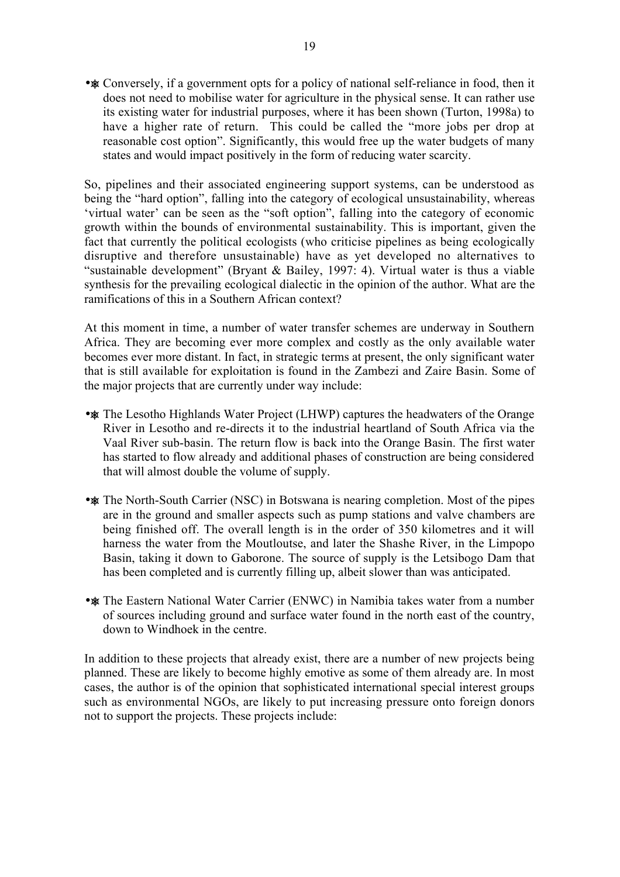•  $\ast$  Conversely, if a government opts for a policy of national self-reliance in food, then it does not need to mobilise water for agriculture in the physical sense. It can rather use its existing water for industrial purposes, where it has been shown (Turton, 1998a) to have a higher rate of return. This could be called the "more jobs per drop at reasonable cost option". Significantly, this would free up the water budgets of many states and would impact positively in the form of reducing water scarcity.

So, pipelines and their associated engineering support systems, can be understood as being the "hard option", falling into the category of ecological unsustainability, whereas 'virtual water' can be seen as the "soft option", falling into the category of economic growth within the bounds of environmental sustainability. This is important, given the fact that currently the political ecologists (who criticise pipelines as being ecologically disruptive and therefore unsustainable) have as yet developed no alternatives to "sustainable development" (Bryant & Bailey, 1997: 4). Virtual water is thus a viable synthesis for the prevailing ecological dialectic in the opinion of the author. What are the ramifications of this in a Southern African context?

At this moment in time, a number of water transfer schemes are underway in Southern Africa. They are becoming ever more complex and costly as the only available water becomes ever more distant. In fact, in strategic terms at present, the only significant water that is still available for exploitation is found in the Zambezi and Zaire Basin. Some of the major projects that are currently under way include:

- $\ast$  The Lesotho Highlands Water Project (LHWP) captures the headwaters of the Orange River in Lesotho and re-directs it to the industrial heartland of South Africa via the Vaal River sub-basin. The return flow is back into the Orange Basin. The first water has started to flow already and additional phases of construction are being considered that will almost double the volume of supply.
- $\ast$  The North-South Carrier (NSC) in Botswana is nearing completion. Most of the pipes are in the ground and smaller aspects such as pump stations and valve chambers are being finished off. The overall length is in the order of 350 kilometres and it will harness the water from the Moutloutse, and later the Shashe River, in the Limpopo Basin, taking it down to Gaborone. The source of supply is the Letsibogo Dam that has been completed and is currently filling up, albeit slower than was anticipated.
- $\ast$  The Eastern National Water Carrier (ENWC) in Namibia takes water from a number of sources including ground and surface water found in the north east of the country, down to Windhoek in the centre.

In addition to these projects that already exist, there are a number of new projects being planned. These are likely to become highly emotive as some of them already are. In most cases, the author is of the opinion that sophisticated international special interest groups such as environmental NGOs, are likely to put increasing pressure onto foreign donors not to support the projects. These projects include: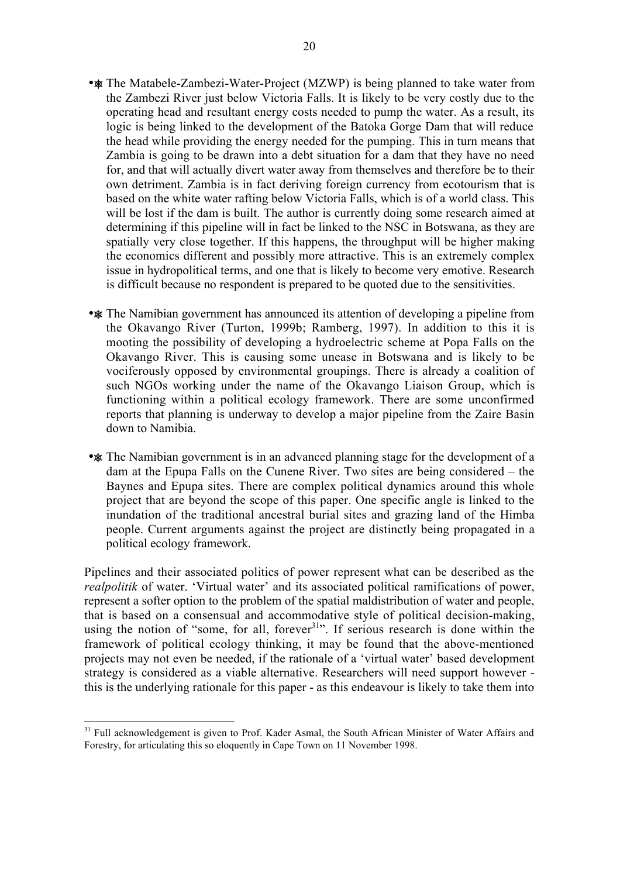- The Matabele-Zambezi-Water-Project (MZWP) is being planned to take water from the Zambezi River just below Victoria Falls. It is likely to be very costly due to the operating head and resultant energy costs needed to pump the water. As a result, its logic is being linked to the development of the Batoka Gorge Dam that will reduce the head while providing the energy needed for the pumping. This in turn means that Zambia is going to be drawn into a debt situation for a dam that they have no need for, and that will actually divert water away from themselves and therefore be to their own detriment. Zambia is in fact deriving foreign currency from ecotourism that is based on the white water rafting below Victoria Falls, which is of a world class. This will be lost if the dam is built. The author is currently doing some research aimed at determining if this pipeline will in fact be linked to the NSC in Botswana, as they are spatially very close together. If this happens, the throughput will be higher making the economics different and possibly more attractive. This is an extremely complex issue in hydropolitical terms, and one that is likely to become very emotive. Research is difficult because no respondent is prepared to be quoted due to the sensitivities.
- $\bullet \ast$  The Namibian government has announced its attention of developing a pipeline from the Okavango River (Turton, 1999b; Ramberg, 1997). In addition to this it is mooting the possibility of developing a hydroelectric scheme at Popa Falls on the Okavango River. This is causing some unease in Botswana and is likely to be vociferously opposed by environmental groupings. There is already a coalition of such NGOs working under the name of the Okavango Liaison Group, which is functioning within a political ecology framework. There are some unconfirmed reports that planning is underway to develop a major pipeline from the Zaire Basin down to Namibia.
- The Namibian government is in an advanced planning stage for the development of a dam at the Epupa Falls on the Cunene River. Two sites are being considered – the Baynes and Epupa sites. There are complex political dynamics around this whole project that are beyond the scope of this paper. One specific angle is linked to the inundation of the traditional ancestral burial sites and grazing land of the Himba people. Current arguments against the project are distinctly being propagated in a political ecology framework.

Pipelines and their associated politics of power represent what can be described as the *realpolitik* of water. 'Virtual water' and its associated political ramifications of power, represent a softer option to the problem of the spatial maldistribution of water and people, that is based on a consensual and accommodative style of political decision-making, using the notion of "some, for all, forever<sup>31</sup>". If serious research is done within the framework of political ecology thinking, it may be found that the above-mentioned projects may not even be needed, if the rationale of a 'virtual water' based development strategy is considered as a viable alternative. Researchers will need support however this is the underlying rationale for this paper - as this endeavour is likely to take them into

<sup>&</sup>lt;sup>31</sup> Full acknowledgement is given to Prof. Kader Asmal, the South African Minister of Water Affairs and Forestry, for articulating this so eloquently in Cape Town on 11 November 1998.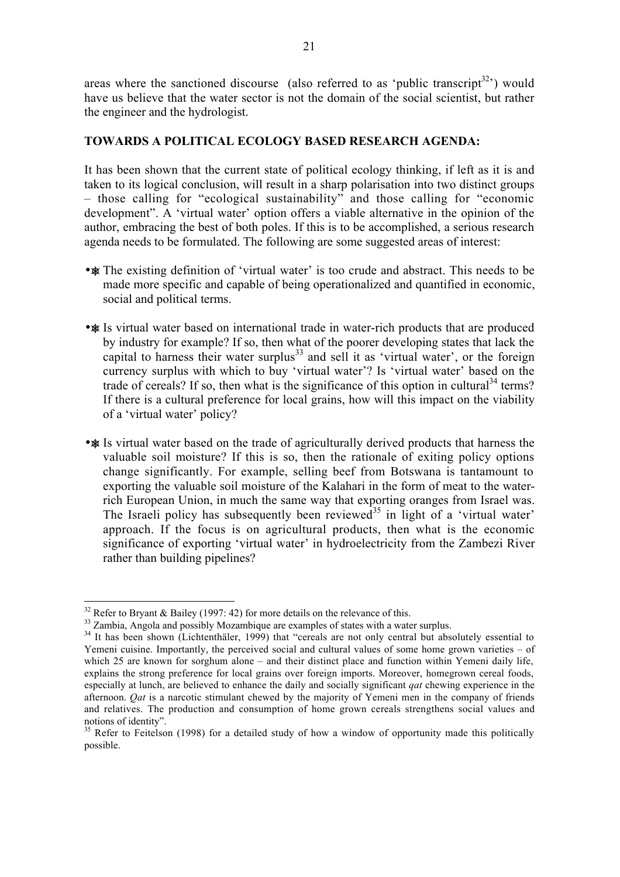areas where the sanctioned discourse (also referred to as 'public transcript<sup>32</sup>') would have us believe that the water sector is not the domain of the social scientist, but rather the engineer and the hydrologist.

#### **TOWARDS A POLITICAL ECOLOGY BASED RESEARCH AGENDA:**

It has been shown that the current state of political ecology thinking, if left as it is and taken to its logical conclusion, will result in a sharp polarisation into two distinct groups – those calling for "ecological sustainability" and those calling for "economic development". A 'virtual water' option offers a viable alternative in the opinion of the author, embracing the best of both poles. If this is to be accomplished, a serious research agenda needs to be formulated. The following are some suggested areas of interest:

- $\ast$  The existing definition of 'virtual water' is too crude and abstract. This needs to be made more specific and capable of being operationalized and quantified in economic, social and political terms.
- $\bullet$  Is virtual water based on international trade in water-rich products that are produced by industry for example? If so, then what of the poorer developing states that lack the capital to harness their water surplus<sup>33</sup> and sell it as 'virtual water', or the foreign currency surplus with which to buy 'virtual water'? Is 'virtual water' based on the trade of cereals? If so, then what is the significance of this option in cultural<sup>34</sup> terms? If there is a cultural preference for local grains, how will this impact on the viability of a 'virtual water' policy?
- $\ast$  Is virtual water based on the trade of agriculturally derived products that harness the valuable soil moisture? If this is so, then the rationale of exiting policy options change significantly. For example, selling beef from Botswana is tantamount to exporting the valuable soil moisture of the Kalahari in the form of meat to the waterrich European Union, in much the same way that exporting oranges from Israel was. The Israeli policy has subsequently been reviewed<sup>35</sup> in light of a 'virtual water' approach. If the focus is on agricultural products, then what is the economic significance of exporting 'virtual water' in hydroelectricity from the Zambezi River rather than building pipelines?

 $32$  Refer to Bryant & Bailey (1997: 42) for more details on the relevance of this.

<sup>&</sup>lt;sup>33</sup> Zambia, Angola and possibly Mozambique are examples of states with a water surplus.

<sup>&</sup>lt;sup>34</sup> It has been shown (Lichtenthäler, 1999) that "cereals are not only central but absolutely essential to Yemeni cuisine. Importantly, the perceived social and cultural values of some home grown varieties – of which 25 are known for sorghum alone – and their distinct place and function within Yemeni daily life, explains the strong preference for local grains over foreign imports. Moreover, homegrown cereal foods, especially at lunch, are believed to enhance the daily and socially significant *qat* chewing experience in the afternoon. *Qat* is a narcotic stimulant chewed by the majority of Yemeni men in the company of friends and relatives. The production and consumption of home grown cereals strengthens social values and notions of identity".

<sup>&</sup>lt;sup>35</sup> Refer to Feitelson (1998) for a detailed study of how a window of opportunity made this politically possible.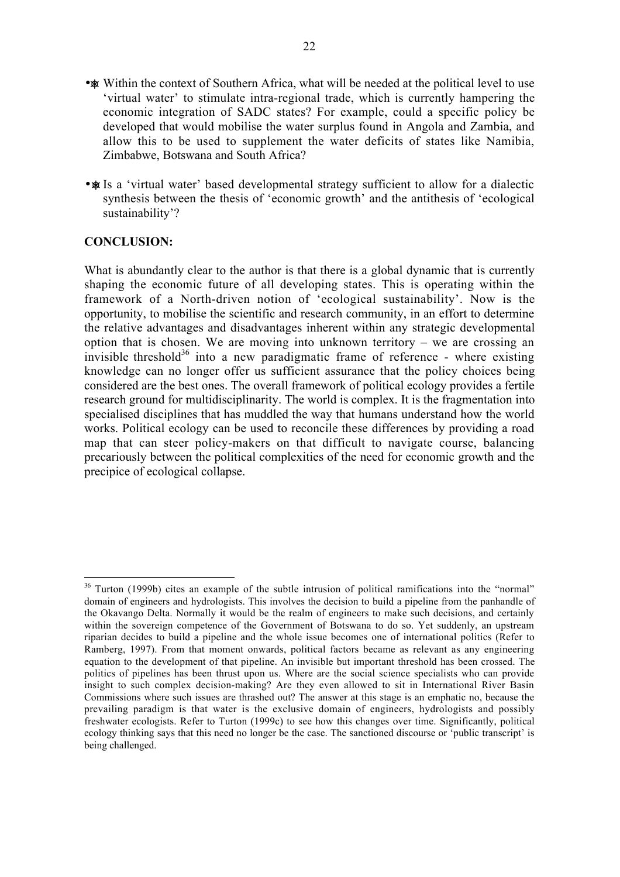- Within the context of Southern Africa, what will be needed at the political level to use 'virtual water' to stimulate intra-regional trade, which is currently hampering the economic integration of SADC states? For example, could a specific policy be developed that would mobilise the water surplus found in Angola and Zambia, and allow this to be used to supplement the water deficits of states like Namibia, Zimbabwe, Botswana and South Africa?
- $\bullet$  Is a 'virtual water' based developmental strategy sufficient to allow for a dialectic synthesis between the thesis of 'economic growth' and the antithesis of 'ecological sustainability'?

#### **CONCLUSION:**

What is abundantly clear to the author is that there is a global dynamic that is currently shaping the economic future of all developing states. This is operating within the framework of a North-driven notion of 'ecological sustainability'. Now is the opportunity, to mobilise the scientific and research community, in an effort to determine the relative advantages and disadvantages inherent within any strategic developmental option that is chosen. We are moving into unknown territory – we are crossing an invisible threshold<sup>36</sup> into a new paradigmatic frame of reference - where existing knowledge can no longer offer us sufficient assurance that the policy choices being considered are the best ones. The overall framework of political ecology provides a fertile research ground for multidisciplinarity. The world is complex. It is the fragmentation into specialised disciplines that has muddled the way that humans understand how the world works. Political ecology can be used to reconcile these differences by providing a road map that can steer policy-makers on that difficult to navigate course, balancing precariously between the political complexities of the need for economic growth and the precipice of ecological collapse.

 <sup>36</sup> Turton (1999b) cites an example of the subtle intrusion of political ramifications into the "normal" domain of engineers and hydrologists. This involves the decision to build a pipeline from the panhandle of the Okavango Delta. Normally it would be the realm of engineers to make such decisions, and certainly within the sovereign competence of the Government of Botswana to do so. Yet suddenly, an upstream riparian decides to build a pipeline and the whole issue becomes one of international politics (Refer to Ramberg, 1997). From that moment onwards, political factors became as relevant as any engineering equation to the development of that pipeline. An invisible but important threshold has been crossed. The politics of pipelines has been thrust upon us. Where are the social science specialists who can provide insight to such complex decision-making? Are they even allowed to sit in International River Basin Commissions where such issues are thrashed out? The answer at this stage is an emphatic no, because the prevailing paradigm is that water is the exclusive domain of engineers, hydrologists and possibly freshwater ecologists. Refer to Turton (1999c) to see how this changes over time. Significantly, political ecology thinking says that this need no longer be the case. The sanctioned discourse or 'public transcript' is being challenged.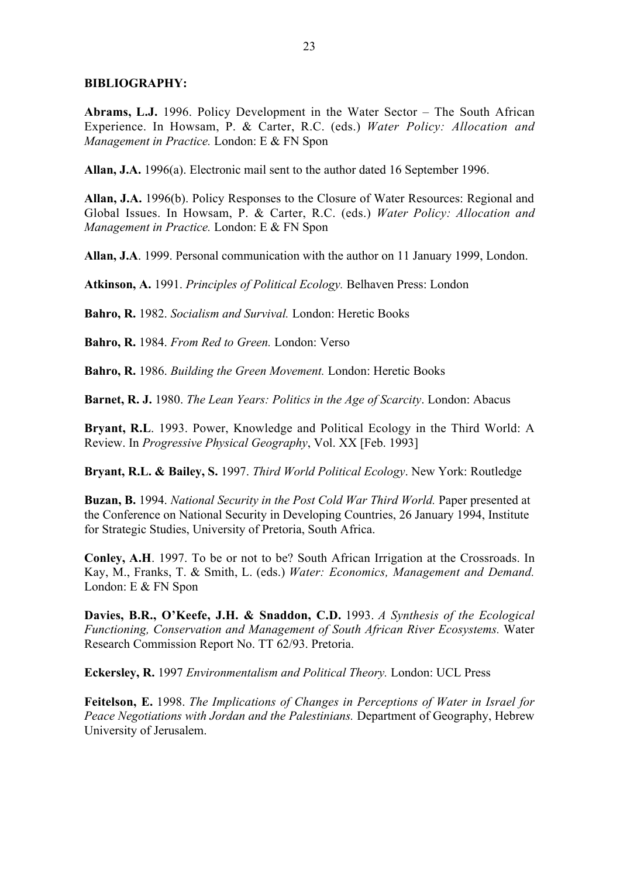#### **BIBLIOGRAPHY:**

**Abrams, L.J.** 1996. Policy Development in the Water Sector – The South African Experience. In Howsam, P. & Carter, R.C. (eds.) *Water Policy: Allocation and Management in Practice.* London: E & FN Spon

**Allan, J.A.** 1996(a). Electronic mail sent to the author dated 16 September 1996.

**Allan, J.A.** 1996(b). Policy Responses to the Closure of Water Resources: Regional and Global Issues. In Howsam, P. & Carter, R.C. (eds.) *Water Policy: Allocation and Management in Practice.* London: E & FN Spon

**Allan, J.A**. 1999. Personal communication with the author on 11 January 1999, London.

**Atkinson, A.** 1991. *Principles of Political Ecology.* Belhaven Press: London

**Bahro, R.** 1982. *Socialism and Survival.* London: Heretic Books

**Bahro, R.** 1984. *From Red to Green.* London: Verso

**Bahro, R.** 1986. *Building the Green Movement.* London: Heretic Books

**Barnet, R. J.** 1980. *The Lean Years: Politics in the Age of Scarcity*. London: Abacus

**Bryant, R.L**. 1993. Power, Knowledge and Political Ecology in the Third World: A Review. In *Progressive Physical Geography*, Vol. XX [Feb. 1993]

**Bryant, R.L. & Bailey, S.** 1997. *Third World Political Ecology*. New York: Routledge

**Buzan, B.** 1994. *National Security in the Post Cold War Third World.* Paper presented at the Conference on National Security in Developing Countries, 26 January 1994, Institute for Strategic Studies, University of Pretoria, South Africa.

**Conley, A.H**. 1997. To be or not to be? South African Irrigation at the Crossroads. In Kay, M., Franks, T. & Smith, L. (eds.) *Water: Economics, Management and Demand.* London: E & FN Spon

**Davies, B.R., O'Keefe, J.H. & Snaddon, C.D.** 1993. *A Synthesis of the Ecological Functioning, Conservation and Management of South African River Ecosystems.* Water Research Commission Report No. TT 62/93. Pretoria.

**Eckersley, R.** 1997 *Environmentalism and Political Theory.* London: UCL Press

**Feitelson, E.** 1998. *The Implications of Changes in Perceptions of Water in Israel for Peace Negotiations with Jordan and the Palestinians.* Department of Geography, Hebrew University of Jerusalem.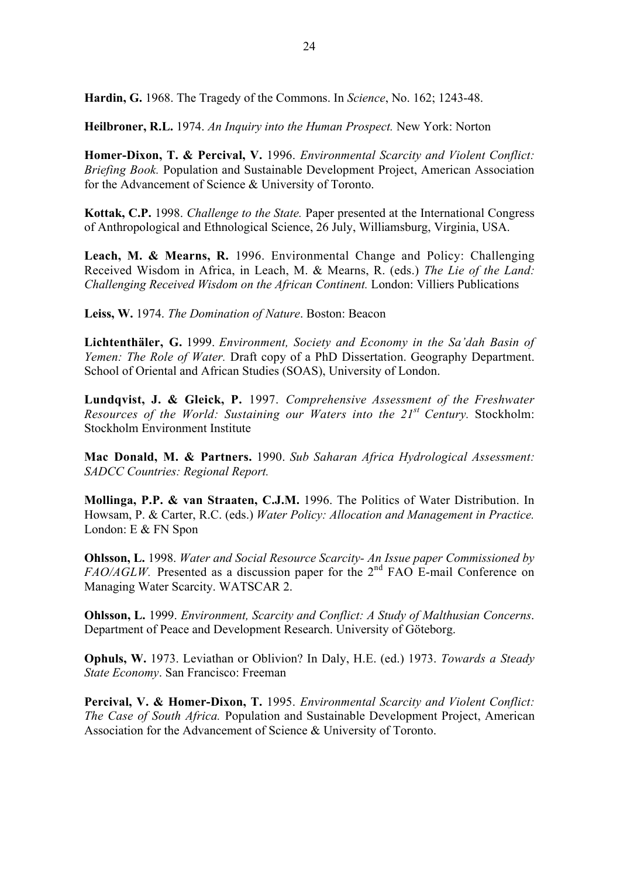**Hardin, G.** 1968. The Tragedy of the Commons. In *Science*, No. 162; 1243-48.

**Heilbroner, R.L.** 1974. *An Inquiry into the Human Prospect.* New York: Norton

**Homer-Dixon, T. & Percival, V.** 1996. *Environmental Scarcity and Violent Conflict: Briefing Book.* Population and Sustainable Development Project, American Association for the Advancement of Science & University of Toronto.

**Kottak, C.P.** 1998. *Challenge to the State.* Paper presented at the International Congress of Anthropological and Ethnological Science, 26 July, Williamsburg, Virginia, USA.

**Leach, M. & Mearns, R.** 1996. Environmental Change and Policy: Challenging Received Wisdom in Africa, in Leach, M. & Mearns, R. (eds.) *The Lie of the Land: Challenging Received Wisdom on the African Continent.* London: Villiers Publications

**Leiss, W.** 1974. *The Domination of Nature*. Boston: Beacon

**Lichtenthäler, G.** 1999. *Environment, Society and Economy in the Sa'dah Basin of Yemen: The Role of Water.* Draft copy of a PhD Dissertation. Geography Department. School of Oriental and African Studies (SOAS), University of London.

**Lundqvist, J. & Gleick, P.** 1997. *Comprehensive Assessment of the Freshwater Resources of the World: Sustaining our Waters into the 21st Century.* Stockholm: Stockholm Environment Institute

**Mac Donald, M. & Partners.** 1990. *Sub Saharan Africa Hydrological Assessment: SADCC Countries: Regional Report.*

**Mollinga, P.P. & van Straaten, C.J.M.** 1996. The Politics of Water Distribution. In Howsam, P. & Carter, R.C. (eds.) *Water Policy: Allocation and Management in Practice.* London: E & FN Spon

**Ohlsson, L.** 1998. *Water and Social Resource Scarcity- An Issue paper Commissioned by FAO/AGLW*. Presented as a discussion paper for the 2<sup>nd</sup> FAO E-mail Conference on Managing Water Scarcity. WATSCAR 2.

**Ohlsson, L.** 1999. *Environment, Scarcity and Conflict: A Study of Malthusian Concerns*. Department of Peace and Development Research. University of Göteborg.

**Ophuls, W.** 1973. Leviathan or Oblivion? In Daly, H.E. (ed.) 1973. *Towards a Steady State Economy*. San Francisco: Freeman

**Percival, V. & Homer-Dixon, T.** 1995. *Environmental Scarcity and Violent Conflict: The Case of South Africa.* Population and Sustainable Development Project, American Association for the Advancement of Science & University of Toronto.